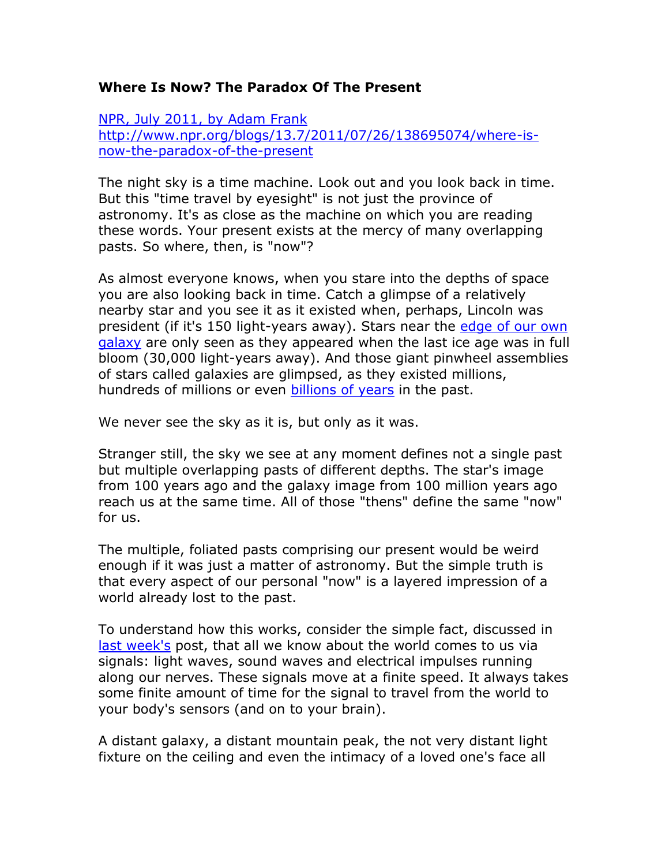## **Where Is Now? The Paradox Of The Present**

[NPR, July 2011, by Adam Frank](NPR,%20July%202011,%20by%20Adam%20Frankhttp:/www.npr.org/blogs/13.7/2011/07/26/138695074/where-is-now-the-paradox-of-the-present) [http://www.npr.org/blogs/13.7/2011/07/26/138695074/where-is](NPR,%20July%202011,%20by%20Adam%20Frankhttp:/www.npr.org/blogs/13.7/2011/07/26/138695074/where-is-now-the-paradox-of-the-present)[now-the-paradox-of-the-present](NPR,%20July%202011,%20by%20Adam%20Frankhttp:/www.npr.org/blogs/13.7/2011/07/26/138695074/where-is-now-the-paradox-of-the-present)

The night sky is a time machine. Look out and you look back in time. But this "time travel by eyesight" is not just the province of astronomy. It's as close as the machine on which you are reading these words. Your present exists at the mercy of many overlapping pasts. So where, then, is "now"?

As almost everyone knows, when you stare into the depths of space you are also looking back in time. Catch a glimpse of a relatively nearby star and you see it as it existed when, perhaps, Lincoln was president (if it's 150 light-years away). Stars near the [edge of our own](http://www.enchantedlearning.com/subjects/astronomy/solarsystem/where.shtml)  [galaxy](http://www.enchantedlearning.com/subjects/astronomy/solarsystem/where.shtml) are only seen as they appeared when the last ice age was in full bloom (30,000 light-years away). And those giant pinwheel assemblies of stars called galaxies are glimpsed, as they existed millions, hundreds of millions or even **billions of years** in the past.

We never see the sky as it is, but only as it was.

Stranger still, the sky we see at any moment defines not a single past but multiple overlapping pasts of different depths. The star's image from 100 years ago and the galaxy image from 100 million years ago reach us at the same time. All of those "thens" define the same "now" for us.

The multiple, foliated pasts comprising our present would be weird enough if it was just a matter of astronomy. But the simple truth is that every aspect of our personal "now" is a layered impression of a world already lost to the past.

To understand how this works, consider the simple fact, discussed in [last week's](http://www.npr.org/blogs/13.7/2011/07/20/138506746/hidden-in-plain-view-the-physics-of-cloaking-time-space-and-experience) post, that all we know about the world comes to us via signals: light waves, sound waves and electrical impulses running along our nerves. These signals move at a finite speed. It always takes some finite amount of time for the signal to travel from the world to your body's sensors (and on to your brain).

A distant galaxy, a distant mountain peak, the not very distant light fixture on the ceiling and even the intimacy of a loved one's face all